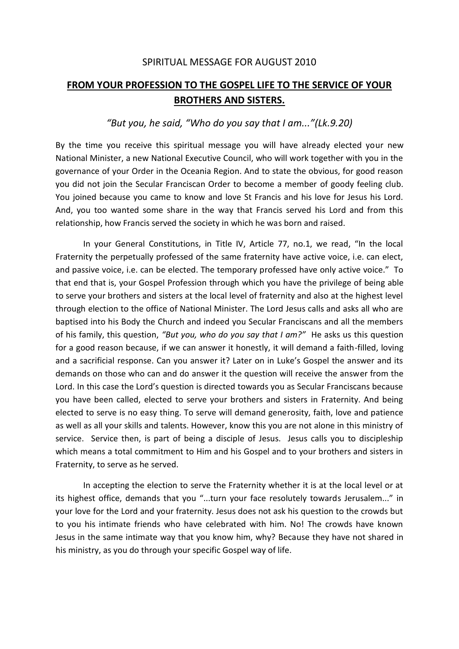## SPIRITUAL MESSAGE FOR AUGUST 2010

## **FROM YOUR PROFESSION TO THE GOSPEL LIFE TO THE SERVICE OF YOUR BROTHERS AND SISTERS.**

## *"But you, he said, "Who do you say that I am..."(Lk.9.20)*

By the time you receive this spiritual message you will have already elected your new National Minister, a new National Executive Council, who will work together with you in the governance of your Order in the Oceania Region. And to state the obvious, for good reason you did not join the Secular Franciscan Order to become a member of goody feeling club. You joined because you came to know and love St Francis and his love for Jesus his Lord. And, you too wanted some share in the way that Francis served his Lord and from this relationship, how Francis served the society in which he was born and raised.

In your General Constitutions, in Title IV, Article 77, no.1, we read, "In the local Fraternity the perpetually professed of the same fraternity have active voice, i.e. can elect, and passive voice, i.e. can be elected. The temporary professed have only active voice." To that end that is, your Gospel Profession through which you have the privilege of being able to serve your brothers and sisters at the local level of fraternity and also at the highest level through election to the office of National Minister. The Lord Jesus calls and asks all who are baptised into his Body the Church and indeed you Secular Franciscans and all the members of his family, this question, *"But you, who do you say that I am?"* He asks us this question for a good reason because, if we can answer it honestly, it will demand a faith-filled, loving and a sacrificial response. Can you answer it? Later on in Luke's Gospel the answer and its demands on those who can and do answer it the question will receive the answer from the Lord. In this case the Lord's question is directed towards you as Secular Franciscans because you have been called, elected to serve your brothers and sisters in Fraternity. And being elected to serve is no easy thing. To serve will demand generosity, faith, love and patience as well as all your skills and talents. However, know this you are not alone in this ministry of service. Service then, is part of being a disciple of Jesus. Jesus calls you to discipleship which means a total commitment to Him and his Gospel and to your brothers and sisters in Fraternity, to serve as he served.

In accepting the election to serve the Fraternity whether it is at the local level or at its highest office, demands that you "...turn your face resolutely towards Jerusalem..." in your love for the Lord and your fraternity. Jesus does not ask his question to the crowds but to you his intimate friends who have celebrated with him. No! The crowds have known Jesus in the same intimate way that you know him, why? Because they have not shared in his ministry, as you do through your specific Gospel way of life.